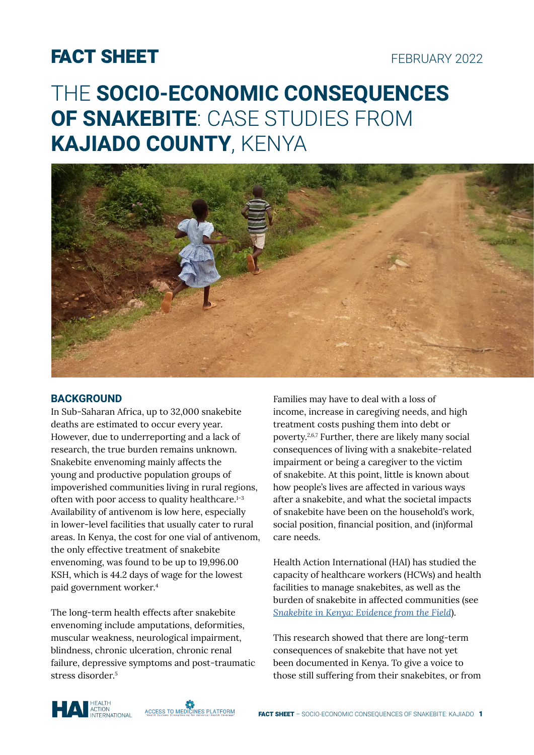## FACT SHEET

# THE **SOCIO-ECONOMIC CONSEQUENCES OF SNAKEBITE**: CASE STUDIES FROM **KAJIADO COUNTY**, KENYA



#### **BACKGROUND**

In Sub-Saharan Africa, up to 32,000 snakebite deaths are estimated to occur every year. However, due to underreporting and a lack of research, the true burden remains unknown. Snakebite envenoming mainly affects the young and productive population groups of impoverished communities living in rural regions, often with poor access to quality healthcare.<sup>1-3</sup> Availability of antivenom is low here, especially in lower-level facilities that usually cater to rural areas. In Kenya, the cost for one vial of antivenom, the only effective treatment of snakebite envenoming, was found to be up to 19,996.00 KSH, which is 44.2 days of wage for the lowest paid government worker.<sup>4</sup>

The long-term health effects after snakebite envenoming include amputations, deformities, muscular weakness, neurological impairment, blindness, chronic ulceration, chronic renal failure, depressive symptoms and post-traumatic stress disorder<sup>5</sup>

Families may have to deal with a loss of income, increase in caregiving needs, and high treatment costs pushing them into debt or poverty.2,6,7 Further, there are likely many social consequences of living with a snakebite-related impairment or being a caregiver to the victim of snakebite. At this point, little is known about how people's lives are affected in various ways after a snakebite, and what the societal impacts of snakebite have been on the household's work, social position, financial position, and (in)formal care needs.

Health Action International (HAI) has studied the capacity of healthcare workers (HCWs) and health facilities to manage snakebites, as well as the burden of snakebite in affected communities (see *[Snakebite in Kenya: Evidence from the Field](https://haiweb.org/wp-content/uploads/2021/12/Report-Snakebite-in-Kenya-2019_2020.pdf)*).

This research showed that there are long-term consequences of snakebite that have not yet been documented in Kenya. To give a voice to those still suffering from their snakebites, or from



**ACCESS TO MEDICINES PLATFORM**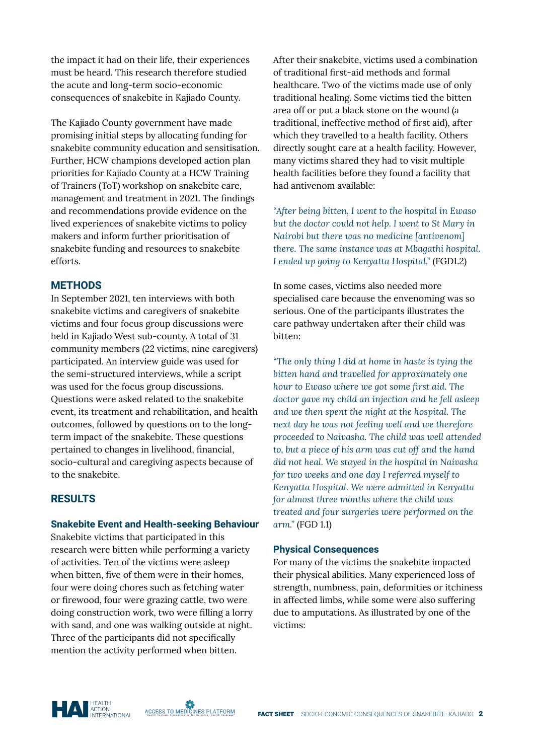the impact it had on their life, their experiences must be heard. This research therefore studied the acute and long-term socio-economic consequences of snakebite in Kajiado County.

The Kajiado County government have made promising initial steps by allocating funding for snakebite community education and sensitisation. Further, HCW champions developed action plan priorities for Kajiado County at a HCW Training of Trainers (ToT) workshop on snakebite care, management and treatment in 2021. The findings and recommendations provide evidence on the lived experiences of snakebite victims to policy makers and inform further prioritisation of snakebite funding and resources to snakebite efforts.

#### **METHODS**

In September 2021, ten interviews with both snakebite victims and caregivers of snakebite victims and four focus group discussions were held in Kajiado West sub-county. A total of 31 community members (22 victims, nine caregivers) participated. An interview guide was used for the semi-structured interviews, while a script was used for the focus group discussions. Questions were asked related to the snakebite event, its treatment and rehabilitation, and health outcomes, followed by questions on to the longterm impact of the snakebite. These questions pertained to changes in livelihood, financial, socio-cultural and caregiving aspects because of to the snakebite.

#### **RESULTS**

#### **Snakebite Event and Health-seeking Behaviour**

Snakebite victims that participated in this research were bitten while performing a variety of activities. Ten of the victims were asleep when bitten, five of them were in their homes, four were doing chores such as fetching water or firewood, four were grazing cattle, two were doing construction work, two were filling a lorry with sand, and one was walking outside at night. Three of the participants did not specifically mention the activity performed when bitten.

After their snakebite, victims used a combination of traditional first-aid methods and formal healthcare. Two of the victims made use of only traditional healing. Some victims tied the bitten area off or put a black stone on the wound (a traditional, ineffective method of first aid), after which they travelled to a health facility. Others directly sought care at a health facility. However, many victims shared they had to visit multiple health facilities before they found a facility that had antivenom available:

*"After being bitten, I went to the hospital in Ewaso but the doctor could not help. I went to St Mary in Nairobi but there was no medicine [antivenom] there. The same instance was at Mbagathi hospital. I ended up going to Kenyatta Hospital."* (FGD1.2)

In some cases, victims also needed more specialised care because the envenoming was so serious. One of the participants illustrates the care pathway undertaken after their child was bitten:

*"The only thing I did at home in haste is tying the bitten hand and travelled for approximately one hour to Ewaso where we got some first aid. The doctor gave my child an injection and he fell asleep and we then spent the night at the hospital. The next day he was not feeling well and we therefore proceeded to Naivasha. The child was well attended to, but a piece of his arm was cut off and the hand did not heal. We stayed in the hospital in Naivasha for two weeks and one day I referred myself to Kenyatta Hospital. We were admitted in Kenyatta for almost three months where the child was treated and four surgeries were performed on the arm."* (FGD 1.1)

#### **Physical Consequences**

For many of the victims the snakebite impacted their physical abilities. Many experienced loss of strength, numbness, pain, deformities or itchiness in affected limbs, while some were also suffering due to amputations. As illustrated by one of the victims:

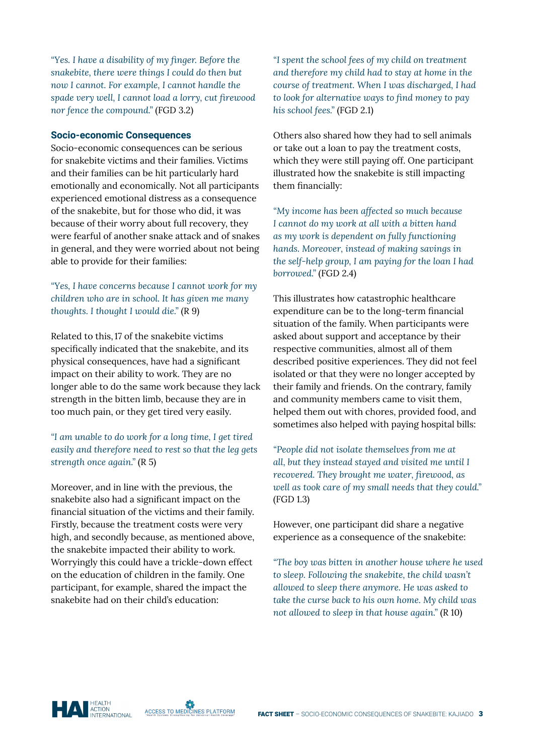*"Yes. I have a disability of my finger. Before the snakebite, there were things I could do then but now I cannot. For example, I cannot handle the spade very well, I cannot load a lorry, cut firewood nor fence the compound."* (FGD 3.2)

#### **Socio-economic Consequences**

Socio-economic consequences can be serious for snakebite victims and their families. Victims and their families can be hit particularly hard emotionally and economically. Not all participants experienced emotional distress as a consequence of the snakebite, but for those who did, it was because of their worry about full recovery, they were fearful of another snake attack and of snakes in general, and they were worried about not being able to provide for their families:

*"Yes, I have concerns because I cannot work for my children who are in school. It has given me many thoughts. I thought I would die."* (R 9)

Related to this,17 of the snakebite victims specifically indicated that the snakebite, and its physical consequences, have had a significant impact on their ability to work. They are no longer able to do the same work because they lack strength in the bitten limb, because they are in too much pain, or they get tired very easily.

#### *"I am unable to do work for a long time, I get tired easily and therefore need to rest so that the leg gets strength once again."* (R 5)

Moreover, and in line with the previous, the snakebite also had a significant impact on the financial situation of the victims and their family. Firstly, because the treatment costs were very high, and secondly because, as mentioned above, the snakebite impacted their ability to work. Worryingly this could have a trickle-down effect on the education of children in the family. One participant, for example, shared the impact the snakebite had on their child's education:

*"I spent the school fees of my child on treatment and therefore my child had to stay at home in the course of treatment. When I was discharged, I had to look for alternative ways to find money to pay his school fees."* (FGD 2.1)

Others also shared how they had to sell animals or take out a loan to pay the treatment costs, which they were still paying off. One participant illustrated how the snakebite is still impacting them financially:

*"My income has been affected so much because I cannot do my work at all with a bitten hand as my work is dependent on fully functioning hands. Moreover, instead of making savings in the self-help group, I am paying for the loan I had borrowed."* (FGD 2.4)

This illustrates how catastrophic healthcare expenditure can be to the long-term financial situation of the family. When participants were asked about support and acceptance by their respective communities, almost all of them described positive experiences. They did not feel isolated or that they were no longer accepted by their family and friends. On the contrary, family and community members came to visit them, helped them out with chores, provided food, and sometimes also helped with paying hospital bills:

*"People did not isolate themselves from me at all, but they instead stayed and visited me until I recovered. They brought me water, firewood, as well as took care of my small needs that they could."*  (FGD 1.3)

However, one participant did share a negative experience as a consequence of the snakebite:

*"The boy was bitten in another house where he used to sleep. Following the snakebite, the child wasn't allowed to sleep there anymore. He was asked to take the curse back to his own home. My child was not allowed to sleep in that house again."* (R 10)

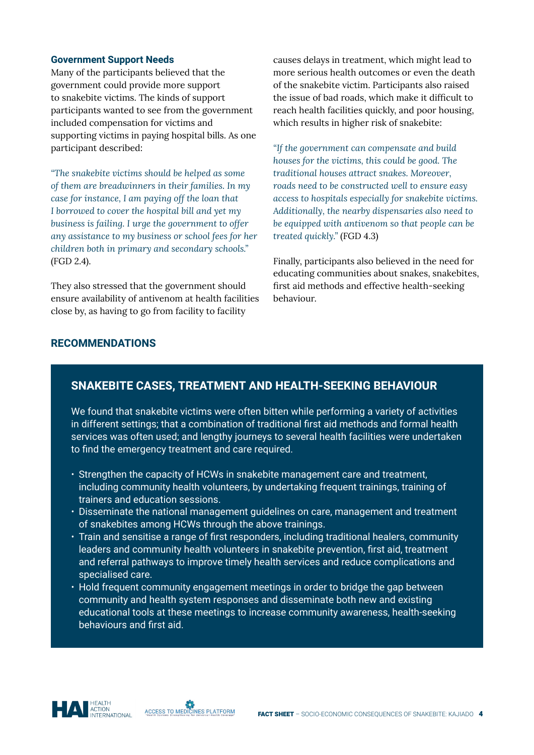#### **Government Support Needs**

Many of the participants believed that the government could provide more support to snakebite victims. The kinds of support participants wanted to see from the government included compensation for victims and supporting victims in paying hospital bills. As one participant described:

*"The snakebite victims should be helped as some of them are breadwinners in their families. In my case for instance, I am paying off the loan that I borrowed to cover the hospital bill and yet my business is failing. I urge the government to offer any assistance to my business or school fees for her children both in primary and secondary schools."*  (FGD 2.4).

They also stressed that the government should ensure availability of antivenom at health facilities close by, as having to go from facility to facility

causes delays in treatment, which might lead to more serious health outcomes or even the death of the snakebite victim. Participants also raised the issue of bad roads, which make it difficult to reach health facilities quickly, and poor housing, which results in higher risk of snakebite:

*"If the government can compensate and build houses for the victims, this could be good. The traditional houses attract snakes. Moreover, roads need to be constructed well to ensure easy access to hospitals especially for snakebite victims. Additionally, the nearby dispensaries also need to be equipped with antivenom so that people can be treated quickly."* (FGD 4.3)

Finally, participants also believed in the need for educating communities about snakes, snakebites, first aid methods and effective health-seeking behaviour.

#### **RECOMMENDATIONS**

### **SNAKEBITE CASES, TREATMENT AND HEALTH-SEEKING BEHAVIOUR**

We found that snakebite victims were often bitten while performing a variety of activities in different settings; that a combination of traditional first aid methods and formal health services was often used; and lengthy journeys to several health facilities were undertaken to find the emergency treatment and care required.

- Strengthen the capacity of HCWs in snakebite management care and treatment, including community health volunteers, by undertaking frequent trainings, training of trainers and education sessions.
- Disseminate the national management guidelines on care, management and treatment of snakebites among HCWs through the above trainings.
- Train and sensitise a range of first responders, including traditional healers, community leaders and community health volunteers in snakebite prevention, first aid, treatment and referral pathways to improve timely health services and reduce complications and specialised care.
- Hold frequent community engagement meetings in order to bridge the gap between community and health system responses and disseminate both new and existing educational tools at these meetings to increase community awareness, health-seeking behaviours and first aid.